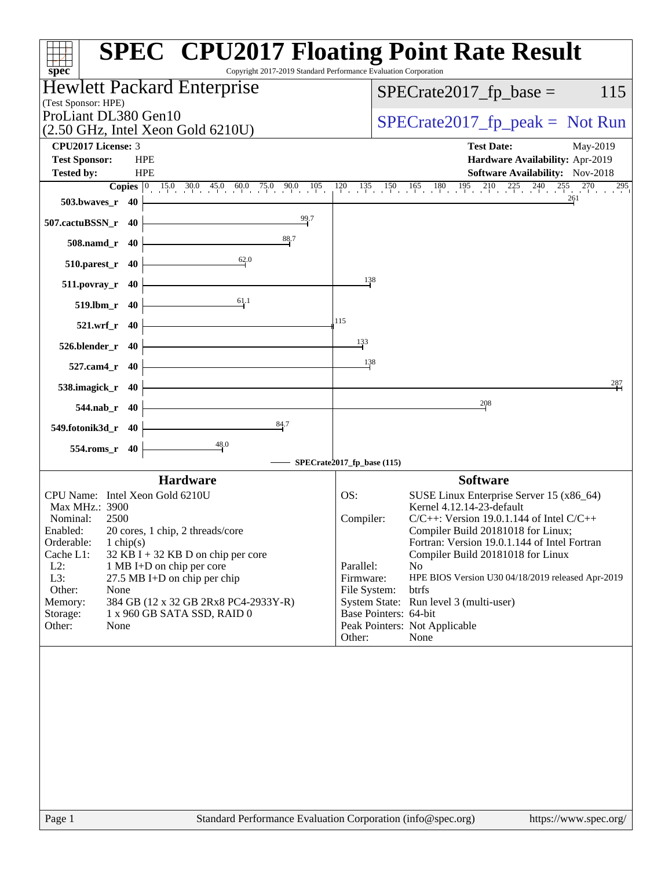| $spec^*$                                                                                 | <b>SPEC<sup>®</sup> CPU2017 Floating Point Rate Result</b><br>Copyright 2017-2019 Standard Performance Evaluation Corporation |
|------------------------------------------------------------------------------------------|-------------------------------------------------------------------------------------------------------------------------------|
| Hewlett Packard Enterprise                                                               | $SPECrate2017_fp\_base =$<br>115                                                                                              |
| (Test Sponsor: HPE)                                                                      |                                                                                                                               |
| ProLiant DL380 Gen10                                                                     | $SPECrate2017_fp\_peak = Not Run$                                                                                             |
| $(2.50 \text{ GHz}, \text{Intel Xeon Gold } 6210 \text{U})$<br><b>CPU2017 License: 3</b> | <b>Test Date:</b><br>May-2019                                                                                                 |
| <b>Test Sponsor:</b><br><b>HPE</b>                                                       | Hardware Availability: Apr-2019                                                                                               |
| <b>HPE</b><br><b>Tested by:</b>                                                          | <b>Software Availability:</b> Nov-2018                                                                                        |
|                                                                                          | $120$ $135$ $150$ $165$ $180$ $195$ $210$ $225$ $240$ $255$ $270$<br>295                                                      |
| $503.bwaves_r$ 40                                                                        | 261                                                                                                                           |
| 99.7<br>507.cactuBSSN_r 40                                                               |                                                                                                                               |
| 88.7<br>508.namd_r 40                                                                    |                                                                                                                               |
| 62.0<br>$510.parest_r$ 40                                                                |                                                                                                                               |
| 511.povray_r 40                                                                          | $\frac{138}{2}$                                                                                                               |
| 61.1<br>519.lbm_r 40                                                                     |                                                                                                                               |
| 521.wrf_r 40                                                                             | 115                                                                                                                           |
| 526.blender_r 40                                                                         | 133                                                                                                                           |
| 527.cam4_r 40                                                                            | 138                                                                                                                           |
| 538.imagick_r 40                                                                         | 287                                                                                                                           |
| 544.nab_r 40                                                                             | 208                                                                                                                           |
| 84.7<br>549.fotonik3d_r 40                                                               |                                                                                                                               |
| 48.0<br>554.roms_r 40                                                                    |                                                                                                                               |
|                                                                                          | SPECrate2017_fp_base (115)                                                                                                    |
| <b>Hardware</b>                                                                          | <b>Software</b>                                                                                                               |
| CPU Name: Intel Xeon Gold 6210U                                                          | SUSE Linux Enterprise Server 15 (x86_64)<br>OS:                                                                               |
| Max MHz.: 3900                                                                           | Kernel 4.12.14-23-default                                                                                                     |
| Nominal:<br>2500<br>Enabled:<br>20 cores, 1 chip, 2 threads/core                         | $C/C++$ : Version 19.0.1.144 of Intel $C/C++$<br>Compiler:<br>Compiler Build 20181018 for Linux;                              |
| Orderable:<br>$1 \text{ chip}(s)$                                                        | Fortran: Version 19.0.1.144 of Intel Fortran                                                                                  |
| Cache L1:<br>$32$ KB I + 32 KB D on chip per core                                        | Compiler Build 20181018 for Linux                                                                                             |
| $L2$ :<br>1 MB I+D on chip per core                                                      | Parallel:<br>N <sub>o</sub>                                                                                                   |
| L3:<br>27.5 MB I+D on chip per chip<br>Other:<br>None                                    | Firmware:<br>HPE BIOS Version U30 04/18/2019 released Apr-2019<br>File System:<br><b>btrfs</b>                                |
| 384 GB (12 x 32 GB 2Rx8 PC4-2933Y-R)<br>Memory:                                          | System State: Run level 3 (multi-user)                                                                                        |
| Storage:<br>1 x 960 GB SATA SSD, RAID 0                                                  | Base Pointers: 64-bit                                                                                                         |
| Other:<br>None                                                                           | Peak Pointers: Not Applicable<br>Other:<br>None                                                                               |
|                                                                                          |                                                                                                                               |
|                                                                                          |                                                                                                                               |
|                                                                                          |                                                                                                                               |
|                                                                                          |                                                                                                                               |
|                                                                                          |                                                                                                                               |
|                                                                                          |                                                                                                                               |
|                                                                                          |                                                                                                                               |
|                                                                                          |                                                                                                                               |
|                                                                                          |                                                                                                                               |
| Page 1                                                                                   | Standard Performance Evaluation Corporation (info@spec.org)<br>https://www.spec.org/                                          |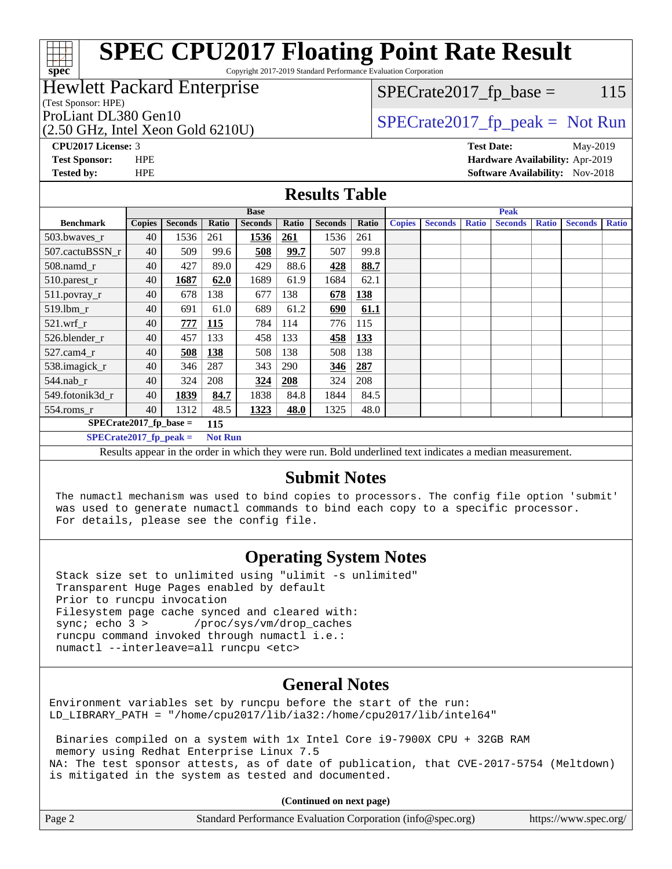Copyright 2017-2019 Standard Performance Evaluation Corporation

### Hewlett Packard Enterprise

(Test Sponsor: HPE)

**[spec](http://www.spec.org/)**

 $SPECTate2017<sub>fr</sub> base = 115$ 

### (2.50 GHz, Intel Xeon Gold 6210U)

ProLiant DL380 Gen10  $SPECTA 50 \text{ GHz}$  [SPECrate2017\\_fp\\_peak =](http://www.spec.org/auto/cpu2017/Docs/result-fields.html#SPECrate2017fppeak) Not Run

**[CPU2017 License:](http://www.spec.org/auto/cpu2017/Docs/result-fields.html#CPU2017License)** 3 **[Test Date:](http://www.spec.org/auto/cpu2017/Docs/result-fields.html#TestDate)** May-2019

**[Test Sponsor:](http://www.spec.org/auto/cpu2017/Docs/result-fields.html#TestSponsor)** HPE **[Hardware Availability:](http://www.spec.org/auto/cpu2017/Docs/result-fields.html#HardwareAvailability)** Apr-2019 **[Tested by:](http://www.spec.org/auto/cpu2017/Docs/result-fields.html#Testedby)** HPE **[Software Availability:](http://www.spec.org/auto/cpu2017/Docs/result-fields.html#SoftwareAvailability)** Nov-2018

#### **[Results Table](http://www.spec.org/auto/cpu2017/Docs/result-fields.html#ResultsTable)**

| <b>Base</b>               |               |                |                | <b>Peak</b>    |       |                |            |               |                |              |                                                                                                      |              |                |              |
|---------------------------|---------------|----------------|----------------|----------------|-------|----------------|------------|---------------|----------------|--------------|------------------------------------------------------------------------------------------------------|--------------|----------------|--------------|
| <b>Benchmark</b>          | <b>Copies</b> | <b>Seconds</b> | Ratio          | <b>Seconds</b> | Ratio | <b>Seconds</b> | Ratio      | <b>Copies</b> | <b>Seconds</b> | <b>Ratio</b> | <b>Seconds</b>                                                                                       | <b>Ratio</b> | <b>Seconds</b> | <b>Ratio</b> |
| 503.bwaves_r              | 40            | 1536           | 261            | 1536           | 261   | 1536           | 261        |               |                |              |                                                                                                      |              |                |              |
| 507.cactuBSSN r           | 40            | 509            | 99.6           | 508            | 99.7  | 507            | 99.8       |               |                |              |                                                                                                      |              |                |              |
| $508$ .namd $r$           | 40            | 427            | 89.0           | 429            | 88.6  | 428            | 88.7       |               |                |              |                                                                                                      |              |                |              |
| $510.parest_r$            | 40            | 1687           | 62.0           | 1689           | 61.9  | 1684           | 62.1       |               |                |              |                                                                                                      |              |                |              |
| 511.povray_r              | 40            | 678            | 138            | 677            | 138   | 678            | <b>138</b> |               |                |              |                                                                                                      |              |                |              |
| 519.lbm r                 | 40            | 691            | 61.0           | 689            | 61.2  | 690            | 61.1       |               |                |              |                                                                                                      |              |                |              |
| $521.wrf_r$               | 40            | 777            | <b>115</b>     | 784            | 114   | 776            | 115        |               |                |              |                                                                                                      |              |                |              |
| 526.blender r             | 40            | 457            | 133            | 458            | 133   | 458            | <u>133</u> |               |                |              |                                                                                                      |              |                |              |
| $527$ .cam $4r$           | 40            | 508            | 138            | 508            | 138   | 508            | 138        |               |                |              |                                                                                                      |              |                |              |
| 538.imagick_r             | 40            | 346            | 287            | 343            | 290   | 346            | 287        |               |                |              |                                                                                                      |              |                |              |
| $544$ .nab r              | 40            | 324            | 208            | 324            | 208   | 324            | 208        |               |                |              |                                                                                                      |              |                |              |
| 549.fotonik3d r           | 40            | 1839           | 84.7           | 1838           | 84.8  | 1844           | 84.5       |               |                |              |                                                                                                      |              |                |              |
| $554$ .roms_r             | 40            | 1312           | 48.5           | 1323           | 48.0  | 1325           | 48.0       |               |                |              |                                                                                                      |              |                |              |
| $SPECrate2017_fp\_base =$ |               |                | 115            |                |       |                |            |               |                |              |                                                                                                      |              |                |              |
| $SPECrate2017$ fp peak =  |               |                | <b>Not Run</b> |                |       |                |            |               |                |              |                                                                                                      |              |                |              |
|                           |               |                |                |                |       |                |            |               |                |              | Decute enneau in the order in which thay were my Dold underlined text indicates a madien measurement |              |                |              |

Results appear in the [order in which they were run.](http://www.spec.org/auto/cpu2017/Docs/result-fields.html#RunOrder) Bold underlined text [indicates a median measurement.](http://www.spec.org/auto/cpu2017/Docs/result-fields.html#Median)

### **[Submit Notes](http://www.spec.org/auto/cpu2017/Docs/result-fields.html#SubmitNotes)**

 The numactl mechanism was used to bind copies to processors. The config file option 'submit' was used to generate numactl commands to bind each copy to a specific processor. For details, please see the config file.

## **[Operating System Notes](http://www.spec.org/auto/cpu2017/Docs/result-fields.html#OperatingSystemNotes)**

 Stack size set to unlimited using "ulimit -s unlimited" Transparent Huge Pages enabled by default Prior to runcpu invocation Filesystem page cache synced and cleared with: sync; echo 3 > /proc/sys/vm/drop\_caches runcpu command invoked through numactl i.e.: numactl --interleave=all runcpu <etc>

### **[General Notes](http://www.spec.org/auto/cpu2017/Docs/result-fields.html#GeneralNotes)**

Environment variables set by runcpu before the start of the run: LD\_LIBRARY\_PATH = "/home/cpu2017/lib/ia32:/home/cpu2017/lib/intel64"

 Binaries compiled on a system with 1x Intel Core i9-7900X CPU + 32GB RAM memory using Redhat Enterprise Linux 7.5 NA: The test sponsor attests, as of date of publication, that CVE-2017-5754 (Meltdown) is mitigated in the system as tested and documented.

**(Continued on next page)**

| Page 2 | Standard Performance Evaluation Corporation (info@spec.org) | https://www.spec.org/ |
|--------|-------------------------------------------------------------|-----------------------|
|--------|-------------------------------------------------------------|-----------------------|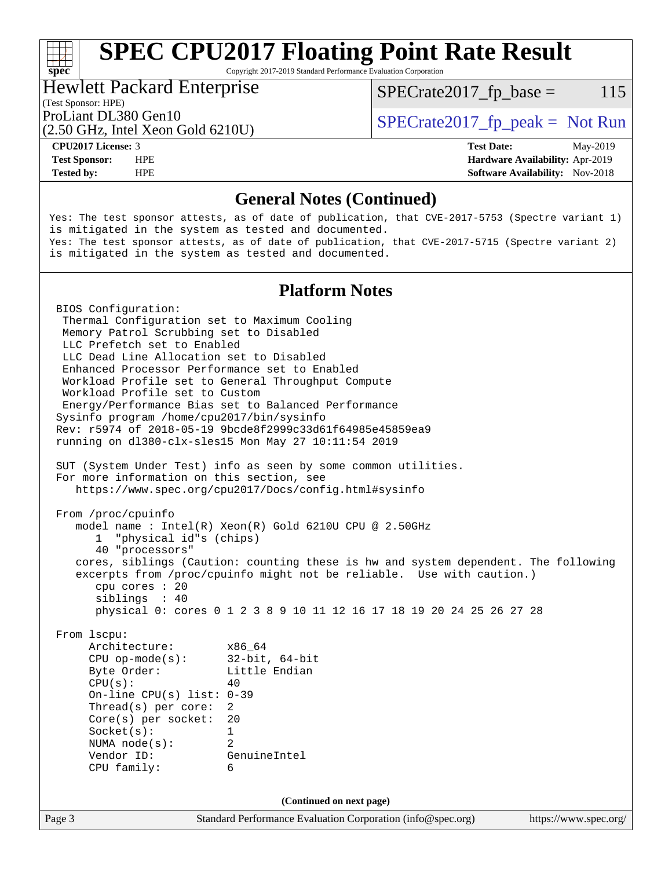Copyright 2017-2019 Standard Performance Evaluation Corporation

#### Hewlett Packard Enterprise

 $SPECTate2017<sub>fr</sub> base = 115$ 

#### (Test Sponsor: HPE)

(2.50 GHz, Intel Xeon Gold 6210U)

ProLiant DL380 Gen10  $SPECTA 50 \text{ GHz}$  [SPECrate2017\\_fp\\_peak =](http://www.spec.org/auto/cpu2017/Docs/result-fields.html#SPECrate2017fppeak) Not Run

**[spec](http://www.spec.org/)**

**[Tested by:](http://www.spec.org/auto/cpu2017/Docs/result-fields.html#Testedby)** HPE **HPE [Software Availability:](http://www.spec.org/auto/cpu2017/Docs/result-fields.html#SoftwareAvailability)** Nov-2018

**[CPU2017 License:](http://www.spec.org/auto/cpu2017/Docs/result-fields.html#CPU2017License)** 3 **[Test Date:](http://www.spec.org/auto/cpu2017/Docs/result-fields.html#TestDate)** May-2019 **[Test Sponsor:](http://www.spec.org/auto/cpu2017/Docs/result-fields.html#TestSponsor)** HPE **[Hardware Availability:](http://www.spec.org/auto/cpu2017/Docs/result-fields.html#HardwareAvailability)** Apr-2019

### **[General Notes \(Continued\)](http://www.spec.org/auto/cpu2017/Docs/result-fields.html#GeneralNotes)**

Yes: The test sponsor attests, as of date of publication, that CVE-2017-5753 (Spectre variant 1) is mitigated in the system as tested and documented. Yes: The test sponsor attests, as of date of publication, that CVE-2017-5715 (Spectre variant 2) is mitigated in the system as tested and documented.

### **[Platform Notes](http://www.spec.org/auto/cpu2017/Docs/result-fields.html#PlatformNotes)**

Page 3 Standard Performance Evaluation Corporation [\(info@spec.org\)](mailto:info@spec.org) <https://www.spec.org/> BIOS Configuration: Thermal Configuration set to Maximum Cooling Memory Patrol Scrubbing set to Disabled LLC Prefetch set to Enabled LLC Dead Line Allocation set to Disabled Enhanced Processor Performance set to Enabled Workload Profile set to General Throughput Compute Workload Profile set to Custom Energy/Performance Bias set to Balanced Performance Sysinfo program /home/cpu2017/bin/sysinfo Rev: r5974 of 2018-05-19 9bcde8f2999c33d61f64985e45859ea9 running on dl380-clx-sles15 Mon May 27 10:11:54 2019 SUT (System Under Test) info as seen by some common utilities. For more information on this section, see <https://www.spec.org/cpu2017/Docs/config.html#sysinfo> From /proc/cpuinfo model name : Intel(R) Xeon(R) Gold 6210U CPU @ 2.50GHz 1 "physical id"s (chips) 40 "processors" cores, siblings (Caution: counting these is hw and system dependent. The following excerpts from /proc/cpuinfo might not be reliable. Use with caution.) cpu cores : 20 siblings : 40 physical 0: cores 0 1 2 3 8 9 10 11 12 16 17 18 19 20 24 25 26 27 28 From lscpu: Architecture: x86\_64 CPU op-mode(s): 32-bit, 64-bit Byte Order: Little Endian  $CPU(s):$  40 On-line CPU(s) list: 0-39 Thread(s) per core: 2 Core(s) per socket: 20 Socket(s): 1 NUMA node(s): 2 Vendor ID: GenuineIntel CPU family: 6 **(Continued on next page)**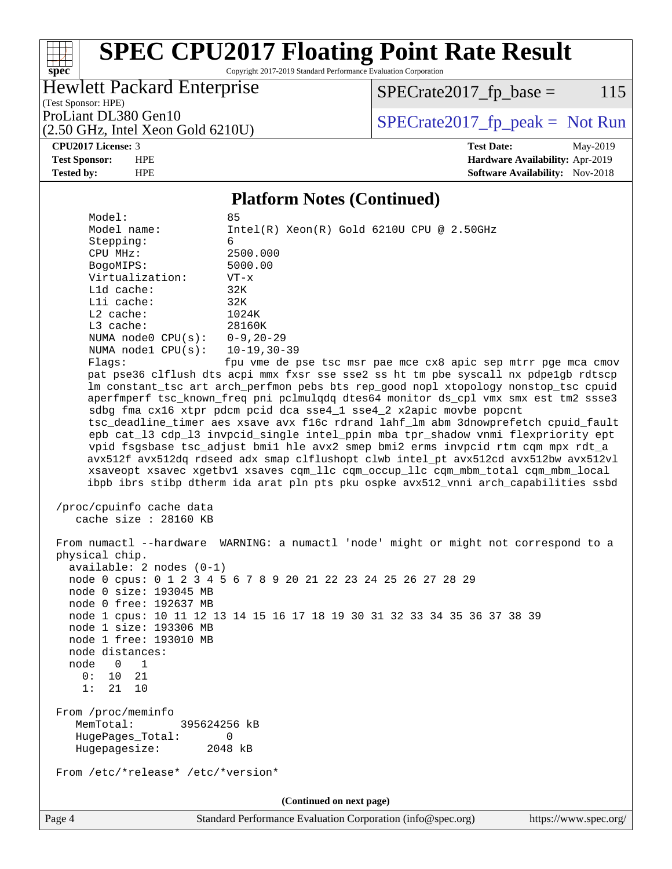Copyright 2017-2019 Standard Performance Evaluation Corporation

#### Hewlett Packard Enterprise

(2.50 GHz, Intel Xeon Gold 6210U)

 $SPECTate2017<sub>fr</sub> base = 115$ 

(Test Sponsor: HPE)

ProLiant DL380 Gen10  $SPECTA 50 \text{ GHz}$  [SPECrate2017\\_fp\\_peak =](http://www.spec.org/auto/cpu2017/Docs/result-fields.html#SPECrate2017fppeak) Not Run

[spec](http://www.spec.org/)<sup>\*</sup>

at h

**[CPU2017 License:](http://www.spec.org/auto/cpu2017/Docs/result-fields.html#CPU2017License)** 3 **[Test Date:](http://www.spec.org/auto/cpu2017/Docs/result-fields.html#TestDate)** May-2019 **[Test Sponsor:](http://www.spec.org/auto/cpu2017/Docs/result-fields.html#TestSponsor)** HPE **[Hardware Availability:](http://www.spec.org/auto/cpu2017/Docs/result-fields.html#HardwareAvailability)** Apr-2019 **[Tested by:](http://www.spec.org/auto/cpu2017/Docs/result-fields.html#Testedby)** HPE **[Software Availability:](http://www.spec.org/auto/cpu2017/Docs/result-fields.html#SoftwareAvailability)** Nov-2018

#### **[Platform Notes \(Continued\)](http://www.spec.org/auto/cpu2017/Docs/result-fields.html#PlatformNotes)**

Model: Model name: Intel(R) Xeon(R) Gold 6210U CPU @ 2.50GHz Stepping: 6 CPU MHz: 2500.000 BogoMIPS: 5000.00 Virtualization: VT-x L1d cache: 32K L1i cache: 32K L2 cache: 1024K L3 cache: 28160K NUMA node0 CPU(s): 0-9,20-29 NUMA node1 CPU(s): 10-19,30-39 Flags: fpu vme de pse tsc msr pae mce cx8 apic sep mtrr pge mca cmov

 pat pse36 clflush dts acpi mmx fxsr sse sse2 ss ht tm pbe syscall nx pdpe1gb rdtscp lm constant\_tsc art arch\_perfmon pebs bts rep\_good nopl xtopology nonstop\_tsc cpuid aperfmperf tsc\_known\_freq pni pclmulqdq dtes64 monitor ds\_cpl vmx smx est tm2 ssse3 sdbg fma cx16 xtpr pdcm pcid dca sse4\_1 sse4\_2 x2apic movbe popcnt tsc\_deadline\_timer aes xsave avx f16c rdrand lahf\_lm abm 3dnowprefetch cpuid\_fault epb cat\_l3 cdp\_l3 invpcid\_single intel\_ppin mba tpr\_shadow vnmi flexpriority ept vpid fsgsbase tsc\_adjust bmi1 hle avx2 smep bmi2 erms invpcid rtm cqm mpx rdt\_a avx512f avx512dq rdseed adx smap clflushopt clwb intel\_pt avx512cd avx512bw avx512vl xsaveopt xsavec xgetbv1 xsaves cqm\_llc cqm\_occup\_llc cqm\_mbm\_total cqm\_mbm\_local ibpb ibrs stibp dtherm ida arat pln pts pku ospke avx512\_vnni arch\_capabilities ssbd

```
 /proc/cpuinfo cache data
cache size : 28160 KB
```
 From numactl --hardware WARNING: a numactl 'node' might or might not correspond to a physical chip. available: 2 nodes (0-1) node 0 cpus: 0 1 2 3 4 5 6 7 8 9 20 21 22 23 24 25 26 27 28 29 node 0 size: 193045 MB node 0 free: 192637 MB node 1 cpus: 10 11 12 13 14 15 16 17 18 19 30 31 32 33 34 35 36 37 38 39 node 1 size: 193306 MB node 1 free: 193010 MB node distances: node 0 1 0: 10 21 1: 21 10 From /proc/meminfo MemTotal: 395624256 kB HugePages\_Total: 0 Hugepagesize: 2048 kB From /etc/\*release\* /etc/\*version\*

**(Continued on next page)**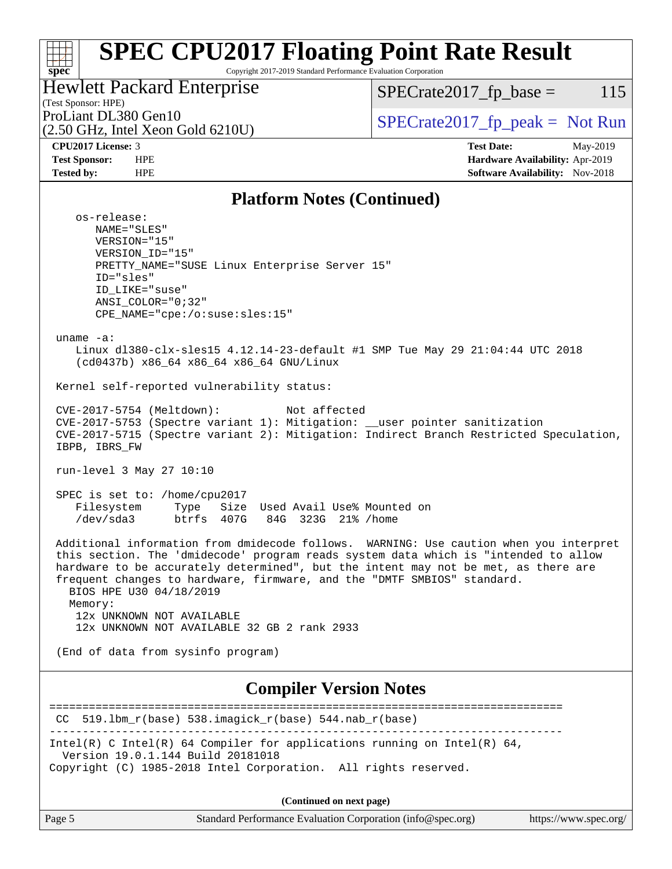#### **[spec](http://www.spec.org/) [SPEC CPU2017 Floating Point Rate Result](http://www.spec.org/auto/cpu2017/Docs/result-fields.html#SPECCPU2017FloatingPointRateResult)** Copyright 2017-2019 Standard Performance Evaluation Corporation (Test Sponsor: HPE) Hewlett Packard Enterprise (2.50 GHz, Intel Xeon Gold 6210U) ProLiant DL380 Gen10  $SPECTA 50 \text{ GHz}$  [SPECrate2017\\_fp\\_peak =](http://www.spec.org/auto/cpu2017/Docs/result-fields.html#SPECrate2017fppeak) Not Run  $SPECTate2017<sub>fr</sub> base = 115$ **[CPU2017 License:](http://www.spec.org/auto/cpu2017/Docs/result-fields.html#CPU2017License)** 3 **[Test Date:](http://www.spec.org/auto/cpu2017/Docs/result-fields.html#TestDate)** May-2019 **[Test Sponsor:](http://www.spec.org/auto/cpu2017/Docs/result-fields.html#TestSponsor)** HPE **[Hardware Availability:](http://www.spec.org/auto/cpu2017/Docs/result-fields.html#HardwareAvailability)** Apr-2019 **[Tested by:](http://www.spec.org/auto/cpu2017/Docs/result-fields.html#Testedby)** HPE **HPE [Software Availability:](http://www.spec.org/auto/cpu2017/Docs/result-fields.html#SoftwareAvailability)** Nov-2018 **[Platform Notes \(Continued\)](http://www.spec.org/auto/cpu2017/Docs/result-fields.html#PlatformNotes)** os-release: NAME="SLES" VERSION="15" VERSION\_ID="15" PRETTY\_NAME="SUSE Linux Enterprise Server 15" ID="sles" ID\_LIKE="suse" ANSI\_COLOR="0;32" CPE\_NAME="cpe:/o:suse:sles:15" uname -a: Linux dl380-clx-sles15 4.12.14-23-default #1 SMP Tue May 29 21:04:44 UTC 2018 (cd0437b) x86\_64 x86\_64 x86\_64 GNU/Linux Kernel self-reported vulnerability status: CVE-2017-5754 (Meltdown): Not affected CVE-2017-5753 (Spectre variant 1): Mitigation: \_\_user pointer sanitization CVE-2017-5715 (Spectre variant 2): Mitigation: Indirect Branch Restricted Speculation, IBPB, IBRS\_FW run-level 3 May 27 10:10 SPEC is set to: /home/cpu2017 Filesystem Type Size Used Avail Use% Mounted on /dev/sda3 btrfs 407G 84G 323G 21% /home Additional information from dmidecode follows. WARNING: Use caution when you interpret this section. The 'dmidecode' program reads system data which is "intended to allow hardware to be accurately determined", but the intent may not be met, as there are frequent changes to hardware, firmware, and the "DMTF SMBIOS" standard. BIOS HPE U30 04/18/2019 Memory: 12x UNKNOWN NOT AVAILABLE 12x UNKNOWN NOT AVAILABLE 32 GB 2 rank 2933 (End of data from sysinfo program) **[Compiler Version Notes](http://www.spec.org/auto/cpu2017/Docs/result-fields.html#CompilerVersionNotes)** ==============================================================================  $CC$  519.1bm\_ $r(base)$  538.imagick\_ $r(base)$  544.nab\_ $r(base)$ ------------------------------------------------------------------------------ Intel(R) C Intel(R) 64 Compiler for applications running on Intel(R)  $64$ , Version 19.0.1.144 Build 20181018 Copyright (C) 1985-2018 Intel Corporation. All rights reserved.

**(Continued on next page)**

| $\vert$ Page 5 | Standard Performance Evaluation Corporation (info@spec.org) | https://www.spec.org/ |
|----------------|-------------------------------------------------------------|-----------------------|
|----------------|-------------------------------------------------------------|-----------------------|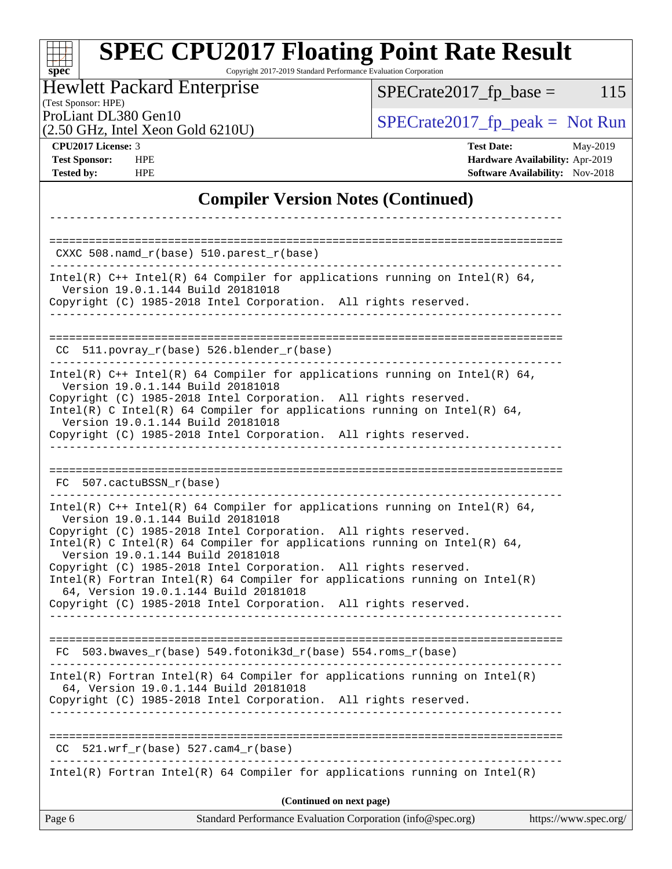#### **[spec](http://www.spec.org/) [SPEC CPU2017 Floating Point Rate Result](http://www.spec.org/auto/cpu2017/Docs/result-fields.html#SPECCPU2017FloatingPointRateResult)** Copyright 2017-2019 Standard Performance Evaluation Corporation Hewlett Packard Enterprise

(Test Sponsor: HPE)

 $SPECrate2017_fp\_base = 115$ 

(2.50 GHz, Intel Xeon Gold 6210U)

ProLiant DL380 Gen10<br>  $(2.50 \text{ GHz} \text{ Intel } \text{Xeon} \text{ Gold } 6210 \text{ I})$  [SPECrate2017\\_fp\\_peak =](http://www.spec.org/auto/cpu2017/Docs/result-fields.html#SPECrate2017fppeak) Not Run

**[CPU2017 License:](http://www.spec.org/auto/cpu2017/Docs/result-fields.html#CPU2017License)** 3 **[Test Date:](http://www.spec.org/auto/cpu2017/Docs/result-fields.html#TestDate)** May-2019 **[Test Sponsor:](http://www.spec.org/auto/cpu2017/Docs/result-fields.html#TestSponsor)** HPE **[Hardware Availability:](http://www.spec.org/auto/cpu2017/Docs/result-fields.html#HardwareAvailability)** Apr-2019 **[Tested by:](http://www.spec.org/auto/cpu2017/Docs/result-fields.html#Testedby)** HPE **HPE [Software Availability:](http://www.spec.org/auto/cpu2017/Docs/result-fields.html#SoftwareAvailability)** Nov-2018

### **[Compiler Version Notes \(Continued\)](http://www.spec.org/auto/cpu2017/Docs/result-fields.html#CompilerVersionNotes)**

| Standard Performance Evaluation Corporation (info@spec.org)<br>Page 6                                                                                                                                                                                            | https://www.spec.org/ |
|------------------------------------------------------------------------------------------------------------------------------------------------------------------------------------------------------------------------------------------------------------------|-----------------------|
| (Continued on next page)                                                                                                                                                                                                                                         |                       |
| $Intel(R)$ Fortran Intel(R) 64 Compiler for applications running on Intel(R)                                                                                                                                                                                     |                       |
| $521.wrf_r(base) 527.cam4_r(base)$<br>CC.                                                                                                                                                                                                                        |                       |
| Copyright (C) 1985-2018 Intel Corporation. All rights reserved.                                                                                                                                                                                                  |                       |
| $Intel(R)$ Fortran Intel(R) 64 Compiler for applications running on Intel(R)<br>64, Version 19.0.1.144 Build 20181018                                                                                                                                            |                       |
| $FC 503.bwaves_r(base) 549.fotonik3d_r(base) 554.roms_r(base)$                                                                                                                                                                                                   |                       |
| 64, Version 19.0.1.144 Build 20181018<br>Copyright (C) 1985-2018 Intel Corporation. All rights reserved.<br>_______________________________                                                                                                                      |                       |
| Intel(R) C Intel(R) 64 Compiler for applications running on Intel(R) 64,<br>Version 19.0.1.144 Build 20181018<br>Copyright (C) 1985-2018 Intel Corporation. All rights reserved.<br>$Intel(R)$ Fortran Intel(R) 64 Compiler for applications running on Intel(R) |                       |
| Intel(R) $C++$ Intel(R) 64 Compiler for applications running on Intel(R) 64,<br>Version 19.0.1.144 Build 20181018<br>Copyright (C) 1985-2018 Intel Corporation. All rights reserved.                                                                             |                       |
| FC 507.cactuBSSN r(base)                                                                                                                                                                                                                                         |                       |
| Copyright (C) 1985-2018 Intel Corporation. All rights reserved.                                                                                                                                                                                                  |                       |
| Version 19.0.1.144 Build 20181018<br>Copyright (C) 1985-2018 Intel Corporation. All rights reserved.<br>Intel(R) C Intel(R) 64 Compiler for applications running on Intel(R) 64,<br>Version 19.0.1.144 Build 20181018                                            |                       |
| $CC$ 511.povray_r(base) 526.blender_r(base)<br>Intel(R) $C++$ Intel(R) 64 Compiler for applications running on Intel(R) 64,                                                                                                                                      |                       |
|                                                                                                                                                                                                                                                                  |                       |
| Intel(R) $C++$ Intel(R) 64 Compiler for applications running on Intel(R) 64,<br>Version 19.0.1.144 Build 20181018<br>Copyright (C) 1985-2018 Intel Corporation. All rights reserved.                                                                             |                       |
| $CXXC 508.namd_r(base) 510.parest_r(base)$                                                                                                                                                                                                                       |                       |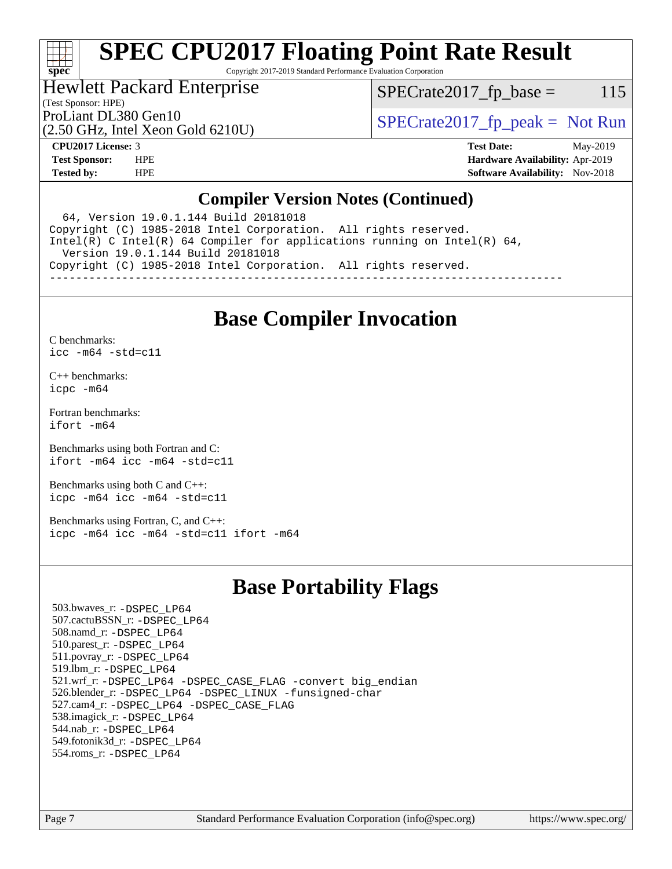# **[spec](http://www.spec.org/)**

# **[SPEC CPU2017 Floating Point Rate Result](http://www.spec.org/auto/cpu2017/Docs/result-fields.html#SPECCPU2017FloatingPointRateResult)**

Copyright 2017-2019 Standard Performance Evaluation Corporation

## Hewlett Packard Enterprise

 $SPECTate2017<sub>fr</sub> base = 115$ 

#### (Test Sponsor: HPE)

(2.50 GHz, Intel Xeon Gold 6210U)

ProLiant DL380 Gen10  $SPECrate2017$  fp\_peak = Not Run

**[CPU2017 License:](http://www.spec.org/auto/cpu2017/Docs/result-fields.html#CPU2017License)** 3 **[Test Date:](http://www.spec.org/auto/cpu2017/Docs/result-fields.html#TestDate)** May-2019 **[Test Sponsor:](http://www.spec.org/auto/cpu2017/Docs/result-fields.html#TestSponsor)** HPE **[Hardware Availability:](http://www.spec.org/auto/cpu2017/Docs/result-fields.html#HardwareAvailability)** Apr-2019 **[Tested by:](http://www.spec.org/auto/cpu2017/Docs/result-fields.html#Testedby)** HPE **[Software Availability:](http://www.spec.org/auto/cpu2017/Docs/result-fields.html#SoftwareAvailability)** Nov-2018

### **[Compiler Version Notes \(Continued\)](http://www.spec.org/auto/cpu2017/Docs/result-fields.html#CompilerVersionNotes)**

 64, Version 19.0.1.144 Build 20181018 Copyright (C) 1985-2018 Intel Corporation. All rights reserved. Intel(R) C Intel(R) 64 Compiler for applications running on Intel(R) 64, Version 19.0.1.144 Build 20181018 Copyright (C) 1985-2018 Intel Corporation. All rights reserved. ------------------------------------------------------------------------------

## **[Base Compiler Invocation](http://www.spec.org/auto/cpu2017/Docs/result-fields.html#BaseCompilerInvocation)**

[C benchmarks](http://www.spec.org/auto/cpu2017/Docs/result-fields.html#Cbenchmarks):

[icc -m64 -std=c11](http://www.spec.org/cpu2017/results/res2019q3/cpu2017-20190624-15563.flags.html#user_CCbase_intel_icc_64bit_c11_33ee0cdaae7deeeab2a9725423ba97205ce30f63b9926c2519791662299b76a0318f32ddfffdc46587804de3178b4f9328c46fa7c2b0cd779d7a61945c91cd35)

[C++ benchmarks:](http://www.spec.org/auto/cpu2017/Docs/result-fields.html#CXXbenchmarks) [icpc -m64](http://www.spec.org/cpu2017/results/res2019q3/cpu2017-20190624-15563.flags.html#user_CXXbase_intel_icpc_64bit_4ecb2543ae3f1412ef961e0650ca070fec7b7afdcd6ed48761b84423119d1bf6bdf5cad15b44d48e7256388bc77273b966e5eb805aefd121eb22e9299b2ec9d9)

[Fortran benchmarks](http://www.spec.org/auto/cpu2017/Docs/result-fields.html#Fortranbenchmarks): [ifort -m64](http://www.spec.org/cpu2017/results/res2019q3/cpu2017-20190624-15563.flags.html#user_FCbase_intel_ifort_64bit_24f2bb282fbaeffd6157abe4f878425411749daecae9a33200eee2bee2fe76f3b89351d69a8130dd5949958ce389cf37ff59a95e7a40d588e8d3a57e0c3fd751)

[Benchmarks using both Fortran and C](http://www.spec.org/auto/cpu2017/Docs/result-fields.html#BenchmarksusingbothFortranandC): [ifort -m64](http://www.spec.org/cpu2017/results/res2019q3/cpu2017-20190624-15563.flags.html#user_CC_FCbase_intel_ifort_64bit_24f2bb282fbaeffd6157abe4f878425411749daecae9a33200eee2bee2fe76f3b89351d69a8130dd5949958ce389cf37ff59a95e7a40d588e8d3a57e0c3fd751) [icc -m64 -std=c11](http://www.spec.org/cpu2017/results/res2019q3/cpu2017-20190624-15563.flags.html#user_CC_FCbase_intel_icc_64bit_c11_33ee0cdaae7deeeab2a9725423ba97205ce30f63b9926c2519791662299b76a0318f32ddfffdc46587804de3178b4f9328c46fa7c2b0cd779d7a61945c91cd35)

[Benchmarks using both C and C++](http://www.spec.org/auto/cpu2017/Docs/result-fields.html#BenchmarksusingbothCandCXX): [icpc -m64](http://www.spec.org/cpu2017/results/res2019q3/cpu2017-20190624-15563.flags.html#user_CC_CXXbase_intel_icpc_64bit_4ecb2543ae3f1412ef961e0650ca070fec7b7afdcd6ed48761b84423119d1bf6bdf5cad15b44d48e7256388bc77273b966e5eb805aefd121eb22e9299b2ec9d9) [icc -m64 -std=c11](http://www.spec.org/cpu2017/results/res2019q3/cpu2017-20190624-15563.flags.html#user_CC_CXXbase_intel_icc_64bit_c11_33ee0cdaae7deeeab2a9725423ba97205ce30f63b9926c2519791662299b76a0318f32ddfffdc46587804de3178b4f9328c46fa7c2b0cd779d7a61945c91cd35)

[Benchmarks using Fortran, C, and C++:](http://www.spec.org/auto/cpu2017/Docs/result-fields.html#BenchmarksusingFortranCandCXX) [icpc -m64](http://www.spec.org/cpu2017/results/res2019q3/cpu2017-20190624-15563.flags.html#user_CC_CXX_FCbase_intel_icpc_64bit_4ecb2543ae3f1412ef961e0650ca070fec7b7afdcd6ed48761b84423119d1bf6bdf5cad15b44d48e7256388bc77273b966e5eb805aefd121eb22e9299b2ec9d9) [icc -m64 -std=c11](http://www.spec.org/cpu2017/results/res2019q3/cpu2017-20190624-15563.flags.html#user_CC_CXX_FCbase_intel_icc_64bit_c11_33ee0cdaae7deeeab2a9725423ba97205ce30f63b9926c2519791662299b76a0318f32ddfffdc46587804de3178b4f9328c46fa7c2b0cd779d7a61945c91cd35) [ifort -m64](http://www.spec.org/cpu2017/results/res2019q3/cpu2017-20190624-15563.flags.html#user_CC_CXX_FCbase_intel_ifort_64bit_24f2bb282fbaeffd6157abe4f878425411749daecae9a33200eee2bee2fe76f3b89351d69a8130dd5949958ce389cf37ff59a95e7a40d588e8d3a57e0c3fd751)

## **[Base Portability Flags](http://www.spec.org/auto/cpu2017/Docs/result-fields.html#BasePortabilityFlags)**

 503.bwaves\_r: [-DSPEC\\_LP64](http://www.spec.org/cpu2017/results/res2019q3/cpu2017-20190624-15563.flags.html#suite_basePORTABILITY503_bwaves_r_DSPEC_LP64) 507.cactuBSSN\_r: [-DSPEC\\_LP64](http://www.spec.org/cpu2017/results/res2019q3/cpu2017-20190624-15563.flags.html#suite_basePORTABILITY507_cactuBSSN_r_DSPEC_LP64) 508.namd\_r: [-DSPEC\\_LP64](http://www.spec.org/cpu2017/results/res2019q3/cpu2017-20190624-15563.flags.html#suite_basePORTABILITY508_namd_r_DSPEC_LP64) 510.parest\_r: [-DSPEC\\_LP64](http://www.spec.org/cpu2017/results/res2019q3/cpu2017-20190624-15563.flags.html#suite_basePORTABILITY510_parest_r_DSPEC_LP64) 511.povray\_r: [-DSPEC\\_LP64](http://www.spec.org/cpu2017/results/res2019q3/cpu2017-20190624-15563.flags.html#suite_basePORTABILITY511_povray_r_DSPEC_LP64) 519.lbm\_r: [-DSPEC\\_LP64](http://www.spec.org/cpu2017/results/res2019q3/cpu2017-20190624-15563.flags.html#suite_basePORTABILITY519_lbm_r_DSPEC_LP64) 521.wrf\_r: [-DSPEC\\_LP64](http://www.spec.org/cpu2017/results/res2019q3/cpu2017-20190624-15563.flags.html#suite_basePORTABILITY521_wrf_r_DSPEC_LP64) [-DSPEC\\_CASE\\_FLAG](http://www.spec.org/cpu2017/results/res2019q3/cpu2017-20190624-15563.flags.html#b521.wrf_r_baseCPORTABILITY_DSPEC_CASE_FLAG) [-convert big\\_endian](http://www.spec.org/cpu2017/results/res2019q3/cpu2017-20190624-15563.flags.html#user_baseFPORTABILITY521_wrf_r_convert_big_endian_c3194028bc08c63ac5d04de18c48ce6d347e4e562e8892b8bdbdc0214820426deb8554edfa529a3fb25a586e65a3d812c835984020483e7e73212c4d31a38223) 526.blender\_r: [-DSPEC\\_LP64](http://www.spec.org/cpu2017/results/res2019q3/cpu2017-20190624-15563.flags.html#suite_basePORTABILITY526_blender_r_DSPEC_LP64) [-DSPEC\\_LINUX](http://www.spec.org/cpu2017/results/res2019q3/cpu2017-20190624-15563.flags.html#b526.blender_r_baseCPORTABILITY_DSPEC_LINUX) [-funsigned-char](http://www.spec.org/cpu2017/results/res2019q3/cpu2017-20190624-15563.flags.html#user_baseCPORTABILITY526_blender_r_force_uchar_40c60f00ab013830e2dd6774aeded3ff59883ba5a1fc5fc14077f794d777847726e2a5858cbc7672e36e1b067e7e5c1d9a74f7176df07886a243d7cc18edfe67) 527.cam4\_r: [-DSPEC\\_LP64](http://www.spec.org/cpu2017/results/res2019q3/cpu2017-20190624-15563.flags.html#suite_basePORTABILITY527_cam4_r_DSPEC_LP64) [-DSPEC\\_CASE\\_FLAG](http://www.spec.org/cpu2017/results/res2019q3/cpu2017-20190624-15563.flags.html#b527.cam4_r_baseCPORTABILITY_DSPEC_CASE_FLAG) 538.imagick\_r: [-DSPEC\\_LP64](http://www.spec.org/cpu2017/results/res2019q3/cpu2017-20190624-15563.flags.html#suite_basePORTABILITY538_imagick_r_DSPEC_LP64) 544.nab\_r: [-DSPEC\\_LP64](http://www.spec.org/cpu2017/results/res2019q3/cpu2017-20190624-15563.flags.html#suite_basePORTABILITY544_nab_r_DSPEC_LP64) 549.fotonik3d\_r: [-DSPEC\\_LP64](http://www.spec.org/cpu2017/results/res2019q3/cpu2017-20190624-15563.flags.html#suite_basePORTABILITY549_fotonik3d_r_DSPEC_LP64) 554.roms\_r: [-DSPEC\\_LP64](http://www.spec.org/cpu2017/results/res2019q3/cpu2017-20190624-15563.flags.html#suite_basePORTABILITY554_roms_r_DSPEC_LP64)